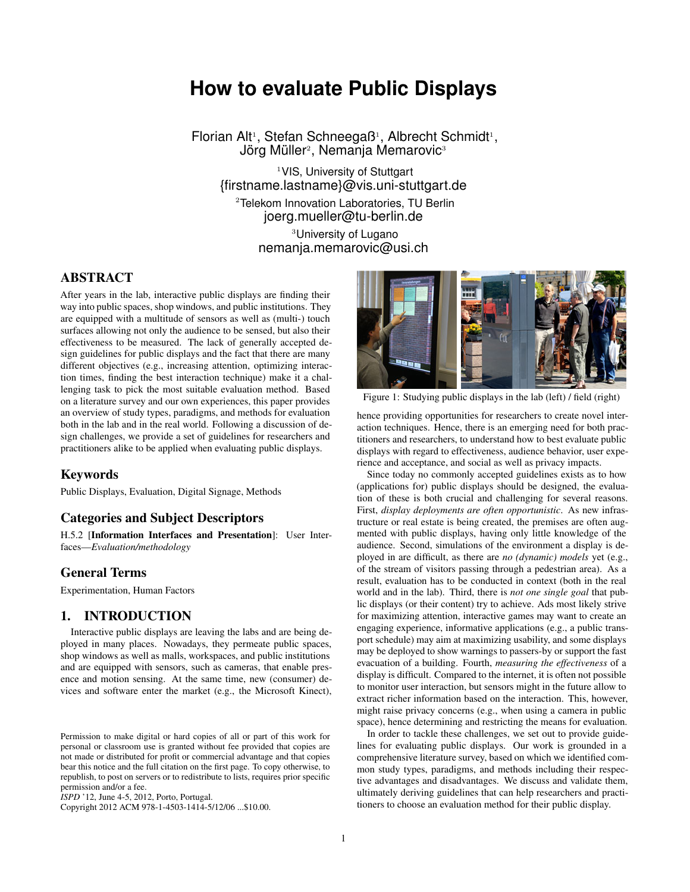# **How to evaluate Public Displays**

Florian Alt<sup>1</sup>, Stefan Schneegaß<sup>1</sup>, Albrecht Schmidt<sup>1</sup>, Jörg Müller<sup>2</sup>, Nemanja Memarovic<sup>3</sup>

<sup>1</sup>VIS, University of Stuttgart {firstname.lastname}@vis.uni-stuttgart.de <sup>2</sup>Telekom Innovation Laboratories, TU Berlin joerg.mueller@tu-berlin.de

<sup>3</sup>University of Lugano nemanja.memarovic@usi.ch

# ABSTRACT

After years in the lab, interactive public displays are finding their way into public spaces, shop windows, and public institutions. They are equipped with a multitude of sensors as well as (multi-) touch surfaces allowing not only the audience to be sensed, but also their effectiveness to be measured. The lack of generally accepted design guidelines for public displays and the fact that there are many different objectives (e.g., increasing attention, optimizing interaction times, finding the best interaction technique) make it a challenging task to pick the most suitable evaluation method. Based on a literature survey and our own experiences, this paper provides an overview of study types, paradigms, and methods for evaluation both in the lab and in the real world. Following a discussion of design challenges, we provide a set of guidelines for researchers and practitioners alike to be applied when evaluating public displays.

# Keywords

Public Displays, Evaluation, Digital Signage, Methods

# Categories and Subject Descriptors

H.5.2 [Information Interfaces and Presentation]: User Interfaces—*Evaluation/methodology*

#### General Terms

Experimentation, Human Factors

# 1. INTRODUCTION

Interactive public displays are leaving the labs and are being deployed in many places. Nowadays, they permeate public spaces, shop windows as well as malls, workspaces, and public institutions and are equipped with sensors, such as cameras, that enable presence and motion sensing. At the same time, new (consumer) devices and software enter the market (e.g., the Microsoft Kinect),

Copyright 2012 ACM 978-1-4503-1414-5/12/06 ...\$10.00.



Figure 1: Studying public displays in the lab (left) / field (right)

hence providing opportunities for researchers to create novel interaction techniques. Hence, there is an emerging need for both practitioners and researchers, to understand how to best evaluate public displays with regard to effectiveness, audience behavior, user experience and acceptance, and social as well as privacy impacts.

Since today no commonly accepted guidelines exists as to how (applications for) public displays should be designed, the evaluation of these is both crucial and challenging for several reasons. First, *display deployments are often opportunistic*. As new infrastructure or real estate is being created, the premises are often augmented with public displays, having only little knowledge of the audience. Second, simulations of the environment a display is deployed in are difficult, as there are *no (dynamic) models* yet (e.g., of the stream of visitors passing through a pedestrian area). As a result, evaluation has to be conducted in context (both in the real world and in the lab). Third, there is *not one single goal* that public displays (or their content) try to achieve. Ads most likely strive for maximizing attention, interactive games may want to create an engaging experience, informative applications (e.g., a public transport schedule) may aim at maximizing usability, and some displays may be deployed to show warnings to passers-by or support the fast evacuation of a building. Fourth, *measuring the effectiveness* of a display is difficult. Compared to the internet, it is often not possible to monitor user interaction, but sensors might in the future allow to extract richer information based on the interaction. This, however, might raise privacy concerns (e.g., when using a camera in public space), hence determining and restricting the means for evaluation.

In order to tackle these challenges, we set out to provide guidelines for evaluating public displays. Our work is grounded in a comprehensive literature survey, based on which we identified common study types, paradigms, and methods including their respective advantages and disadvantages. We discuss and validate them, ultimately deriving guidelines that can help researchers and practitioners to choose an evaluation method for their public display.

Permission to make digital or hard copies of all or part of this work for personal or classroom use is granted without fee provided that copies are not made or distributed for profit or commercial advantage and that copies bear this notice and the full citation on the first page. To copy otherwise, to republish, to post on servers or to redistribute to lists, requires prior specific permission and/or a fee.

*ISPD* '12, June 4-5, 2012, Porto, Portugal.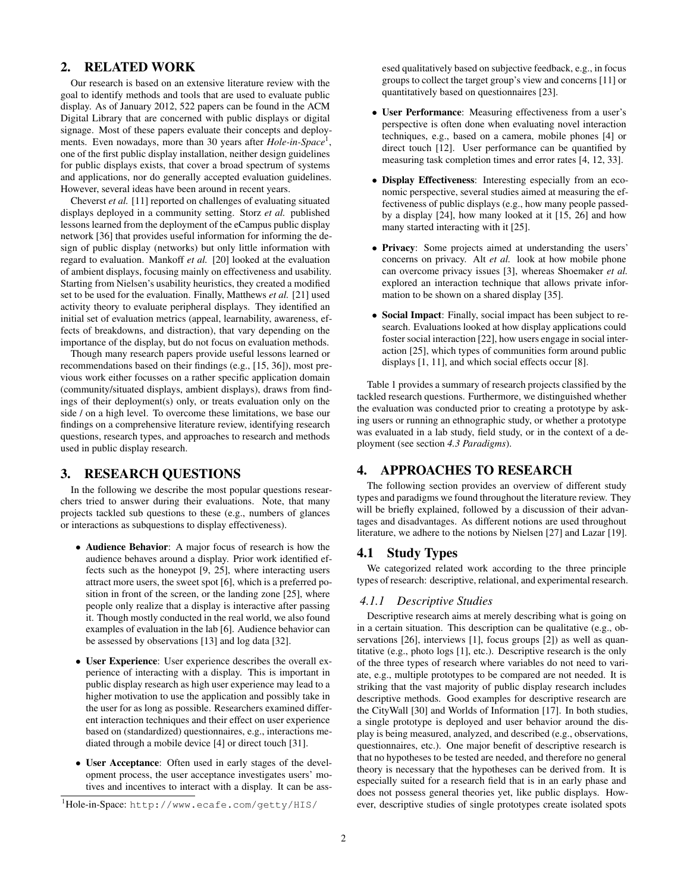# 2. RELATED WORK

Our research is based on an extensive literature review with the goal to identify methods and tools that are used to evaluate public display. As of January 2012, 522 papers can be found in the ACM Digital Library that are concerned with public displays or digital signage. Most of these papers evaluate their concepts and deployments. Even nowadays, more than 30 years after *Hole-in-Space*[1](#page-1-0) , one of the first public display installation, neither design guidelines for public displays exists, that cover a broad spectrum of systems and applications, nor do generally accepted evaluation guidelines. However, several ideas have been around in recent years.

Cheverst *et al.* [\[11\]](#page-5-0) reported on challenges of evaluating situated displays deployed in a community setting. Storz *et al.* published lessons learned from the deployment of the eCampus public display network [\[36\]](#page-5-1) that provides useful information for informing the design of public display (networks) but only little information with regard to evaluation. Mankoff *et al.* [\[20\]](#page-5-2) looked at the evaluation of ambient displays, focusing mainly on effectiveness and usability. Starting from Nielsen's usability heuristics, they created a modified set to be used for the evaluation. Finally, Matthews *et al.* [\[21\]](#page-5-3) used activity theory to evaluate peripheral displays. They identified an initial set of evaluation metrics (appeal, learnability, awareness, effects of breakdowns, and distraction), that vary depending on the importance of the display, but do not focus on evaluation methods.

Though many research papers provide useful lessons learned or recommendations based on their findings (e.g., [\[15,](#page-5-4) [36\]](#page-5-1)), most previous work either focusses on a rather specific application domain (community/situated displays, ambient displays), draws from findings of their deployment(s) only, or treats evaluation only on the side / on a high level. To overcome these limitations, we base our findings on a comprehensive literature review, identifying research questions, research types, and approaches to research and methods used in public display research.

# 3. RESEARCH QUESTIONS

In the following we describe the most popular questions researchers tried to answer during their evaluations. Note, that many projects tackled sub questions to these (e.g., numbers of glances or interactions as subquestions to display effectiveness).

- Audience Behavior: A major focus of research is how the audience behaves around a display. Prior work identified effects such as the honeypot [\[9,](#page-5-5) [25\]](#page-5-6), where interacting users attract more users, the sweet spot [\[6\]](#page-5-7), which is a preferred position in front of the screen, or the landing zone [\[25\]](#page-5-6), where people only realize that a display is interactive after passing it. Though mostly conducted in the real world, we also found examples of evaluation in the lab [\[6\]](#page-5-7). Audience behavior can be assessed by observations [\[13\]](#page-5-8) and log data [\[32\]](#page-5-9).
- User Experience: User experience describes the overall experience of interacting with a display. This is important in public display research as high user experience may lead to a higher motivation to use the application and possibly take in the user for as long as possible. Researchers examined different interaction techniques and their effect on user experience based on (standardized) questionnaires, e.g., interactions mediated through a mobile device [\[4\]](#page-5-10) or direct touch [\[31\]](#page-5-11).
- User Acceptance: Often used in early stages of the development process, the user acceptance investigates users' motives and incentives to interact with a display. It can be ass-

esed qualitatively based on subjective feedback, e.g., in focus groups to collect the target group's view and concerns [\[11\]](#page-5-0) or quantitatively based on questionnaires [\[23\]](#page-5-12).

- User Performance: Measuring effectiveness from a user's perspective is often done when evaluating novel interaction techniques, e.g., based on a camera, mobile phones [\[4\]](#page-5-10) or direct touch [\[12\]](#page-5-13). User performance can be quantified by measuring task completion times and error rates [\[4,](#page-5-10) [12,](#page-5-13) [33\]](#page-5-14).
- Display Effectiveness: Interesting especially from an economic perspective, several studies aimed at measuring the effectiveness of public displays (e.g., how many people passedby a display [\[24\]](#page-5-15), how many looked at it [\[15,](#page-5-4) [26\]](#page-5-16) and how many started interacting with it [\[25\]](#page-5-6).
- Privacy: Some projects aimed at understanding the users' concerns on privacy. Alt *et al.* look at how mobile phone can overcome privacy issues [\[3\]](#page-4-0), whereas Shoemaker *et al.* explored an interaction technique that allows private information to be shown on a shared display [\[35\]](#page-5-17).
- Social Impact: Finally, social impact has been subject to research. Evaluations looked at how display applications could foster social interaction [\[22\]](#page-5-18), how users engage in social interaction [\[25\]](#page-5-6), which types of communities form around public displays [\[1,](#page-4-1) [11\]](#page-5-0), and which social effects occur [\[8\]](#page-5-19).

Table [1](#page-2-0) provides a summary of research projects classified by the tackled research questions. Furthermore, we distinguished whether the evaluation was conducted prior to creating a prototype by asking users or running an ethnographic study, or whether a prototype was evaluated in a lab study, field study, or in the context of a deployment (see section *4.3 Paradigms*).

# 4. APPROACHES TO RESEARCH

The following section provides an overview of different study types and paradigms we found throughout the literature review. They will be briefly explained, followed by a discussion of their advantages and disadvantages. As different notions are used throughout literature, we adhere to the notions by Nielsen [\[27\]](#page-5-20) and Lazar [\[19\]](#page-5-21).

#### 4.1 Study Types

We categorized related work according to the three principle types of research: descriptive, relational, and experimental research.

## *4.1.1 Descriptive Studies*

Descriptive research aims at merely describing what is going on in a certain situation. This description can be qualitative (e.g., ob-servations [\[26\]](#page-5-16), interviews [\[1\]](#page-4-1), focus groups [\[2\]](#page-4-2)) as well as quantitative (e.g., photo logs [\[1\]](#page-4-1), etc.). Descriptive research is the only of the three types of research where variables do not need to variate, e.g., multiple prototypes to be compared are not needed. It is striking that the vast majority of public display research includes descriptive methods. Good examples for descriptive research are the CityWall [\[30\]](#page-5-22) and Worlds of Information [\[17\]](#page-5-23). In both studies, a single prototype is deployed and user behavior around the display is being measured, analyzed, and described (e.g., observations, questionnaires, etc.). One major benefit of descriptive research is that no hypotheses to be tested are needed, and therefore no general theory is necessary that the hypotheses can be derived from. It is especially suited for a research field that is in an early phase and does not possess general theories yet, like public displays. However, descriptive studies of single prototypes create isolated spots

<span id="page-1-0"></span><sup>1</sup>Hole-in-Space: <http://www.ecafe.com/getty/HIS/>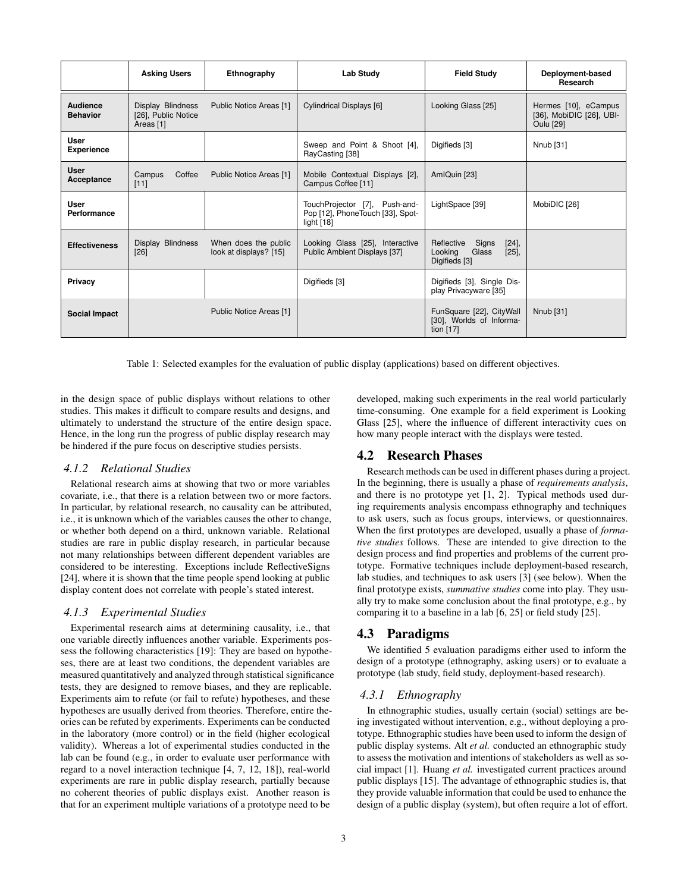<span id="page-2-0"></span>

|                             | <b>Asking Users</b>                                   | Ethnography                                    | Lab Study                                                                         | <b>Field Study</b>                                                       | Deployment-based<br>Research                                         |
|-----------------------------|-------------------------------------------------------|------------------------------------------------|-----------------------------------------------------------------------------------|--------------------------------------------------------------------------|----------------------------------------------------------------------|
| Audience<br><b>Behavior</b> | Display Blindness<br>[26], Public Notice<br>Areas [1] | Public Notice Areas [1]                        | Cylindrical Displays [6]                                                          | Looking Glass [25]                                                       | Hermes [10], eCampus<br>[36], MobiDIC [26], UBI-<br><b>Oulu</b> [29] |
| User<br><b>Experience</b>   |                                                       |                                                | Sweep and Point & Shoot [4],<br>RayCasting [38]                                   | Digifieds [3]                                                            | Nnub [31]                                                            |
| <b>User</b><br>Acceptance   | Campus<br>Coffee<br>$[11]$                            | Public Notice Areas [1]                        | Mobile Contextual Displays [2],<br>Campus Coffee [11]                             | AmlQuin [23]                                                             |                                                                      |
| User<br>Performance         |                                                       |                                                | TouchProjector [7], Push-and-<br>Pop [12], PhoneTouch [33], Spot-<br>light $[18]$ | LightSpace [39]                                                          | MobiDIC [26]                                                         |
| <b>Effectiveness</b>        | Display Blindness<br>$[26]$                           | When does the public<br>look at displays? [15] | Looking Glass [25], Interactive<br>Public Ambient Displays [37]                   | Reflective<br>Signs<br>[24]<br>Looking<br>Glass<br>[25]<br>Digifieds [3] |                                                                      |
| Privacy                     |                                                       |                                                | Digifieds [3]                                                                     | Digifieds [3], Single Dis-<br>play Privacyware [35]                      |                                                                      |
| <b>Social Impact</b>        |                                                       | Public Notice Areas [1]                        |                                                                                   | FunSquare [22], CityWall<br>[30], Worlds of Informa-<br>tion $[17]$      | Nnub [31]                                                            |

Table 1: Selected examples for the evaluation of public display (applications) based on different objectives.

in the design space of public displays without relations to other studies. This makes it difficult to compare results and designs, and ultimately to understand the structure of the entire design space. Hence, in the long run the progress of public display research may be hindered if the pure focus on descriptive studies persists.

#### *4.1.2 Relational Studies*

Relational research aims at showing that two or more variables covariate, i.e., that there is a relation between two or more factors. In particular, by relational research, no causality can be attributed, i.e., it is unknown which of the variables causes the other to change, or whether both depend on a third, unknown variable. Relational studies are rare in public display research, in particular because not many relationships between different dependent variables are considered to be interesting. Exceptions include ReflectiveSigns [\[24\]](#page-5-15), where it is shown that the time people spend looking at public display content does not correlate with people's stated interest.

#### *4.1.3 Experimental Studies*

Experimental research aims at determining causality, i.e., that one variable directly influences another variable. Experiments possess the following characteristics [\[19\]](#page-5-21): They are based on hypotheses, there are at least two conditions, the dependent variables are measured quantitatively and analyzed through statistical significance tests, they are designed to remove biases, and they are replicable. Experiments aim to refute (or fail to refute) hypotheses, and these hypotheses are usually derived from theories. Therefore, entire theories can be refuted by experiments. Experiments can be conducted in the laboratory (more control) or in the field (higher ecological validity). Whereas a lot of experimental studies conducted in the lab can be found (e.g., in order to evaluate user performance with regard to a novel interaction technique [\[4,](#page-5-10) [7,](#page-5-27) [12,](#page-5-13) [18\]](#page-5-28)), real-world experiments are rare in public display research, partially because no coherent theories of public displays exist. Another reason is that for an experiment multiple variations of a prototype need to be

developed, making such experiments in the real world particularly time-consuming. One example for a field experiment is Looking Glass [\[25\]](#page-5-6), where the influence of different interactivity cues on how many people interact with the displays were tested.

#### 4.2 Research Phases

Research methods can be used in different phases during a project. In the beginning, there is usually a phase of *requirements analysis*, and there is no prototype yet [\[1,](#page-4-1) [2\]](#page-4-2). Typical methods used during requirements analysis encompass ethnography and techniques to ask users, such as focus groups, interviews, or questionnaires. When the first prototypes are developed, usually a phase of *formative studies* follows. These are intended to give direction to the design process and find properties and problems of the current prototype. Formative techniques include deployment-based research, lab studies, and techniques to ask users [\[3\]](#page-4-0) (see below). When the final prototype exists, *summative studies* come into play. They usually try to make some conclusion about the final prototype, e.g., by comparing it to a baseline in a lab [\[6,](#page-5-7) [25\]](#page-5-6) or field study [\[25\]](#page-5-6).

#### 4.3 Paradigms

We identified 5 evaluation paradigms either used to inform the design of a prototype (ethnography, asking users) or to evaluate a prototype (lab study, field study, deployment-based research).

#### *4.3.1 Ethnography*

In ethnographic studies, usually certain (social) settings are being investigated without intervention, e.g., without deploying a prototype. Ethnographic studies have been used to inform the design of public display systems. Alt *et al.* conducted an ethnographic study to assess the motivation and intentions of stakeholders as well as social impact [\[1\]](#page-4-1). Huang *et al.* investigated current practices around public displays [\[15\]](#page-5-4). The advantage of ethnographic studies is, that they provide valuable information that could be used to enhance the design of a public display (system), but often require a lot of effort.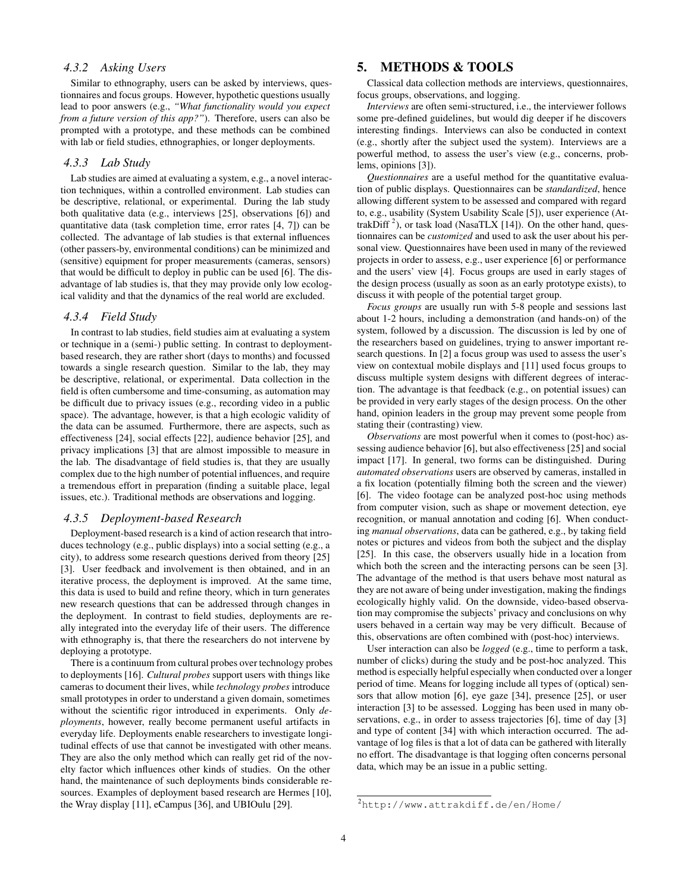#### *4.3.2 Asking Users*

Similar to ethnography, users can be asked by interviews, questionnaires and focus groups. However, hypothetic questions usually lead to poor answers (e.g., *"What functionality would you expect from a future version of this app?"*). Therefore, users can also be prompted with a prototype, and these methods can be combined with lab or field studies, ethnographies, or longer deployments.

#### *4.3.3 Lab Study*

Lab studies are aimed at evaluating a system, e.g., a novel interaction techniques, within a controlled environment. Lab studies can be descriptive, relational, or experimental. During the lab study both qualitative data (e.g., interviews [\[25\]](#page-5-6), observations [\[6\]](#page-5-7)) and quantitative data (task completion time, error rates [\[4,](#page-5-10) [7\]](#page-5-27)) can be collected. The advantage of lab studies is that external influences (other passers-by, environmental conditions) can be minimized and (sensitive) equipment for proper measurements (cameras, sensors) that would be difficult to deploy in public can be used [\[6\]](#page-5-7). The disadvantage of lab studies is, that they may provide only low ecological validity and that the dynamics of the real world are excluded.

#### *4.3.4 Field Study*

In contrast to lab studies, field studies aim at evaluating a system or technique in a (semi-) public setting. In contrast to deploymentbased research, they are rather short (days to months) and focussed towards a single research question. Similar to the lab, they may be descriptive, relational, or experimental. Data collection in the field is often cumbersome and time-consuming, as automation may be difficult due to privacy issues (e.g., recording video in a public space). The advantage, however, is that a high ecologic validity of the data can be assumed. Furthermore, there are aspects, such as effectiveness [\[24\]](#page-5-15), social effects [\[22\]](#page-5-18), audience behavior [\[25\]](#page-5-6), and privacy implications [\[3\]](#page-4-0) that are almost impossible to measure in the lab. The disadvantage of field studies is, that they are usually complex due to the high number of potential influences, and require a tremendous effort in preparation (finding a suitable place, legal issues, etc.). Traditional methods are observations and logging.

#### *4.3.5 Deployment-based Research*

Deployment-based research is a kind of action research that introduces technology (e.g., public displays) into a social setting (e.g., a city), to address some research questions derived from theory [\[25\]](#page-5-6) [\[3\]](#page-4-0). User feedback and involvement is then obtained, and in an iterative process, the deployment is improved. At the same time, this data is used to build and refine theory, which in turn generates new research questions that can be addressed through changes in the deployment. In contrast to field studies, deployments are really integrated into the everyday life of their users. The difference with ethnography is, that there the researchers do not intervene by deploying a prototype.

There is a continuum from cultural probes over technology probes to deployments [\[16\]](#page-5-31). *Cultural probes* support users with things like cameras to document their lives, while *technology probes* introduce small prototypes in order to understand a given domain, sometimes without the scientific rigor introduced in experiments. Only *deployments*, however, really become permanent useful artifacts in everyday life. Deployments enable researchers to investigate longitudinal effects of use that cannot be investigated with other means. They are also the only method which can really get rid of the novelty factor which influences other kinds of studies. On the other hand, the maintenance of such deployments binds considerable resources. Examples of deployment based research are Hermes [\[10\]](#page-5-24), the Wray display [\[11\]](#page-5-0), eCampus [\[36\]](#page-5-1), and UBIOulu [\[29\]](#page-5-25).

# 5. METHODS & TOOLS

Classical data collection methods are interviews, questionnaires, focus groups, observations, and logging.

*Interviews* are often semi-structured, i.e., the interviewer follows some pre-defined guidelines, but would dig deeper if he discovers interesting findings. Interviews can also be conducted in context (e.g., shortly after the subject used the system). Interviews are a powerful method, to assess the user's view (e.g., concerns, problems, opinions [\[3\]](#page-4-0)).

*Questionnaires* are a useful method for the quantitative evaluation of public displays. Questionnaires can be *standardized*, hence allowing different system to be assessed and compared with regard to, e.g., usability (System Usability Scale [\[5\]](#page-5-32)), user experience (At-trakDiff<sup>[2](#page-3-0)</sup>), or task load (NasaTLX [\[14\]](#page-5-33)). On the other hand, questionnaires can be *customized* and used to ask the user about his personal view. Questionnaires have been used in many of the reviewed projects in order to assess, e.g., user experience [\[6\]](#page-5-7) or performance and the users' view [\[4\]](#page-5-10). Focus groups are used in early stages of the design process (usually as soon as an early prototype exists), to discuss it with people of the potential target group.

*Focus groups* are usually run with 5-8 people and sessions last about 1-2 hours, including a demonstration (and hands-on) of the system, followed by a discussion. The discussion is led by one of the researchers based on guidelines, trying to answer important research questions. In [\[2\]](#page-4-2) a focus group was used to assess the user's view on contextual mobile displays and [\[11\]](#page-5-0) used focus groups to discuss multiple system designs with different degrees of interaction. The advantage is that feedback (e.g., on potential issues) can be provided in very early stages of the design process. On the other hand, opinion leaders in the group may prevent some people from stating their (contrasting) view.

*Observations* are most powerful when it comes to (post-hoc) assessing audience behavior [\[6\]](#page-5-7), but also effectiveness [\[25\]](#page-5-6) and social impact [\[17\]](#page-5-23). In general, two forms can be distinguished. During *automated observations* users are observed by cameras, installed in a fix location (potentially filming both the screen and the viewer) [\[6\]](#page-5-7). The video footage can be analyzed post-hoc using methods from computer vision, such as shape or movement detection, eye recognition, or manual annotation and coding [\[6\]](#page-5-7). When conducting *manual observations*, data can be gathered, e.g., by taking field notes or pictures and videos from both the subject and the display [\[25\]](#page-5-6). In this case, the observers usually hide in a location from which both the screen and the interacting persons can be seen [\[3\]](#page-4-0). The advantage of the method is that users behave most natural as they are not aware of being under investigation, making the findings ecologically highly valid. On the downside, video-based observation may compromise the subjects' privacy and conclusions on why users behaved in a certain way may be very difficult. Because of this, observations are often combined with (post-hoc) interviews.

User interaction can also be *logged* (e.g., time to perform a task, number of clicks) during the study and be post-hoc analyzed. This method is especially helpful especially when conducted over a longer period of time. Means for logging include all types of (optical) sensors that allow motion [\[6\]](#page-5-7), eye gaze [\[34\]](#page-5-34), presence [\[25\]](#page-5-6), or user interaction [\[3\]](#page-4-0) to be assessed. Logging has been used in many ob-servations, e.g., in order to assess trajectories [\[6\]](#page-5-7), time of day [\[3\]](#page-4-0) and type of content [\[34\]](#page-5-34) with which interaction occurred. The advantage of log files is that a lot of data can be gathered with literally no effort. The disadvantage is that logging often concerns personal data, which may be an issue in a public setting.

<span id="page-3-0"></span><sup>2</sup><http://www.attrakdiff.de/en/Home/>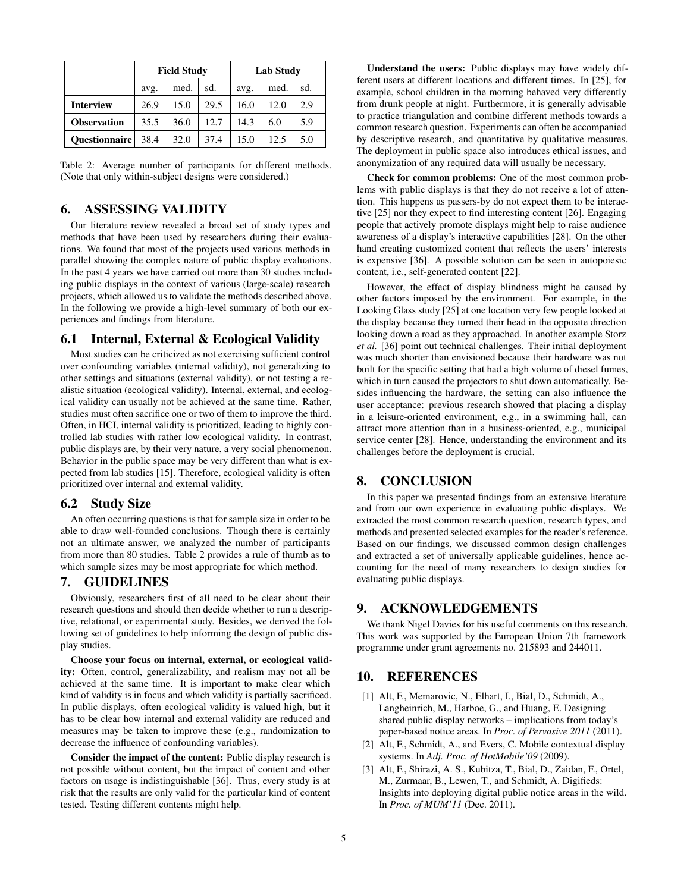<span id="page-4-3"></span>

|                      | <b>Field Study</b> |      |      | <b>Lab Study</b> |      |     |
|----------------------|--------------------|------|------|------------------|------|-----|
|                      | avg.               | med. | sd.  | avg.             | med. | sd. |
| <b>Interview</b>     | 26.9               | 15.0 | 29.5 | 16.0             | 12.0 | 2.9 |
| <b>Observation</b>   | 35.5               | 36.0 | 12.7 | 14.3             | 6.0  | 5.9 |
| <b>Ouestionnaire</b> | 38.4               | 32.0 | 37.4 | 15.0             | 12.5 | 5.0 |

Table 2: Average number of participants for different methods. (Note that only within-subject designs were considered.)

# 6. ASSESSING VALIDITY

Our literature review revealed a broad set of study types and methods that have been used by researchers during their evaluations. We found that most of the projects used various methods in parallel showing the complex nature of public display evaluations. In the past 4 years we have carried out more than 30 studies including public displays in the context of various (large-scale) research projects, which allowed us to validate the methods described above. In the following we provide a high-level summary of both our experiences and findings from literature.

### 6.1 Internal, External & Ecological Validity

Most studies can be criticized as not exercising sufficient control over confounding variables (internal validity), not generalizing to other settings and situations (external validity), or not testing a realistic situation (ecological validity). Internal, external, and ecological validity can usually not be achieved at the same time. Rather, studies must often sacrifice one or two of them to improve the third. Often, in HCI, internal validity is prioritized, leading to highly controlled lab studies with rather low ecological validity. In contrast, public displays are, by their very nature, a very social phenomenon. Behavior in the public space may be very different than what is expected from lab studies [\[15\]](#page-5-4). Therefore, ecological validity is often prioritized over internal and external validity.

#### 6.2 Study Size

An often occurring questions is that for sample size in order to be able to draw well-founded conclusions. Though there is certainly not an ultimate answer, we analyzed the number of participants from more than 80 studies. Table [2](#page-4-3) provides a rule of thumb as to which sample sizes may be most appropriate for which method.

# 7. GUIDELINES

Obviously, researchers first of all need to be clear about their research questions and should then decide whether to run a descriptive, relational, or experimental study. Besides, we derived the following set of guidelines to help informing the design of public display studies.

Choose your focus on internal, external, or ecological validity: Often, control, generalizability, and realism may not all be achieved at the same time. It is important to make clear which kind of validity is in focus and which validity is partially sacrificed. In public displays, often ecological validity is valued high, but it has to be clear how internal and external validity are reduced and measures may be taken to improve these (e.g., randomization to decrease the influence of confounding variables).

Consider the impact of the content: Public display research is not possible without content, but the impact of content and other factors on usage is indistinguishable [\[36\]](#page-5-1). Thus, every study is at risk that the results are only valid for the particular kind of content tested. Testing different contents might help.

Understand the users: Public displays may have widely different users at different locations and different times. In [\[25\]](#page-5-6), for example, school children in the morning behaved very differently from drunk people at night. Furthermore, it is generally advisable to practice triangulation and combine different methods towards a common research question. Experiments can often be accompanied by descriptive research, and quantitative by qualitative measures. The deployment in public space also introduces ethical issues, and anonymization of any required data will usually be necessary.

Check for common problems: One of the most common problems with public displays is that they do not receive a lot of attention. This happens as passers-by do not expect them to be interactive [\[25\]](#page-5-6) nor they expect to find interesting content [\[26\]](#page-5-16). Engaging people that actively promote displays might help to raise audience awareness of a display's interactive capabilities [\[28\]](#page-5-35). On the other hand creating customized content that reflects the users' interests is expensive [\[36\]](#page-5-1). A possible solution can be seen in autopoiesic content, i.e., self-generated content [\[22\]](#page-5-18).

However, the effect of display blindness might be caused by other factors imposed by the environment. For example, in the Looking Glass study [\[25\]](#page-5-6) at one location very few people looked at the display because they turned their head in the opposite direction looking down a road as they approached. In another example Storz *et al.* [\[36\]](#page-5-1) point out technical challenges. Their initial deployment was much shorter than envisioned because their hardware was not built for the specific setting that had a high volume of diesel fumes, which in turn caused the projectors to shut down automatically. Besides influencing the hardware, the setting can also influence the user acceptance: previous research showed that placing a display in a leisure-oriented environment, e.g., in a swimming hall, can attract more attention than in a business-oriented, e.g., municipal service center [\[28\]](#page-5-35). Hence, understanding the environment and its challenges before the deployment is crucial.

# 8. CONCLUSION

In this paper we presented findings from an extensive literature and from our own experience in evaluating public displays. We extracted the most common research question, research types, and methods and presented selected examples for the reader's reference. Based on our findings, we discussed common design challenges and extracted a set of universally applicable guidelines, hence accounting for the need of many researchers to design studies for evaluating public displays.

## 9. ACKNOWLEDGEMENTS

We thank Nigel Davies for his useful comments on this research. This work was supported by the European Union 7th framework programme under grant agreements no. 215893 and 244011.

#### 10. REFERENCES

- <span id="page-4-1"></span>[1] Alt, F., Memarovic, N., Elhart, I., Bial, D., Schmidt, A., Langheinrich, M., Harboe, G., and Huang, E. Designing shared public display networks – implications from today's paper-based notice areas. In *Proc. of Pervasive 2011* (2011).
- <span id="page-4-2"></span>[2] Alt, F., Schmidt, A., and Evers, C. Mobile contextual display systems. In *Adj. Proc. of HotMobile'09* (2009).
- <span id="page-4-0"></span>[3] Alt, F., Shirazi, A. S., Kubitza, T., Bial, D., Zaidan, F., Ortel, M., Zurmaar, B., Lewen, T., and Schmidt, A. Digifieds: Insights into deploying digital public notice areas in the wild. In *Proc. of MUM'11* (Dec. 2011).